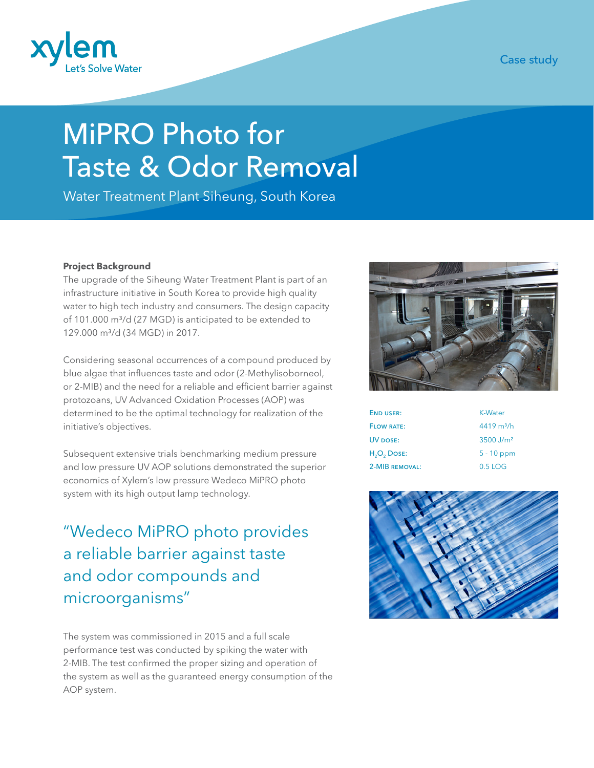

Case study

# MiPRO Photo for Taste & Odor Removal

Water Treatment Plant Siheung, South Korea

### **Project Background**

The upgrade of the Siheung Water Treatment Plant is part of an infrastructure initiative in South Korea to provide high quality water to high tech industry and consumers. The design capacity of 101.000 m<sup>3</sup>/d (27 MGD) is anticipated to be extended to 129.000 m³/d (34 MGD) in 2017.

Considering seasonal occurrences of a compound produced by blue algae that influences taste and odor (2-Methylisoborneol, or 2-MIB) and the need for a reliable and efficient barrier against protozoans, UV Advanced Oxidation Processes (AOP) was determined to be the optimal technology for realization of the initiative's objectives.

Subsequent extensive trials benchmarking medium pressure and low pressure UV AOP solutions demonstrated the superior economics of Xylem's low pressure Wedeco MiPRO photo system with its high output lamp technology.

"Wedeco MiPRO photo provides a reliable barrier against taste and odor compounds and microorganisms"

The system was commissioned in 2015 and a full scale performance test was conducted by spiking the water with 2-MIB. The test confirmed the proper sizing and operation of the system as well as the guaranteed energy consumption of the AOP system.



| <b>END USER:</b>                    | <b>K-Water</b>          |
|-------------------------------------|-------------------------|
| <b>FLOW RATE:</b>                   | $4419 \text{ m}^3/h$    |
| UV DOSE:                            | $3500$ J/m <sup>2</sup> |
| H <sub>2</sub> O <sub>2</sub> Dose: | $5 - 10$ ppm            |
| 2-MIB REMOVAL:                      | $0.5$ LOG               |